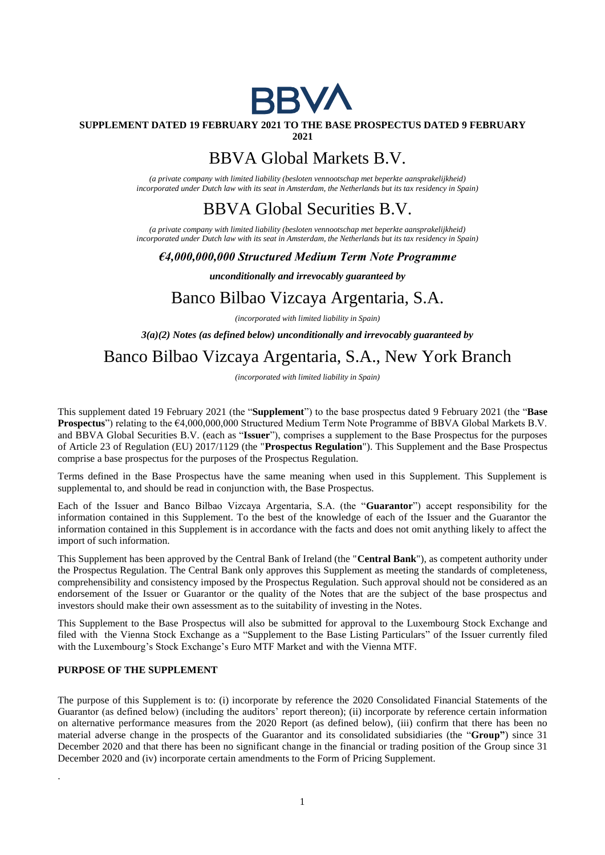

## **SUPPLEMENT DATED 19 FEBRUARY 2021 TO THE BASE PROSPECTUS DATED 9 FEBRUARY**

**2021**

# BBVA Global Markets B.V.

*(a private company with limited liability (besloten vennootschap met beperkte aansprakelijkheid) incorporated under Dutch law with its seat in Amsterdam, the Netherlands but its tax residency in Spain)*

# BBVA Global Securities B.V.

*(a private company with limited liability (besloten vennootschap met beperkte aansprakelijkheid) incorporated under Dutch law with its seat in Amsterdam, the Netherlands but its tax residency in Spain)*

## *€4,000,000,000 Structured Medium Term Note Programme*

*unconditionally and irrevocably guaranteed by*

## Banco Bilbao Vizcaya Argentaria, S.A.

*(incorporated with limited liability in Spain)*

*3(a)(2) Notes (as defined below) unconditionally and irrevocably guaranteed by*

# Banco Bilbao Vizcaya Argentaria, S.A., New York Branch

*(incorporated with limited liability in Spain)*

This supplement dated 19 February 2021 (the "**Supplement**") to the base prospectus dated 9 February 2021 (the "**Base Prospectus**") relating to the €4,000,000,000 Structured Medium Term Note Programme of BBVA Global Markets B.V. and BBVA Global Securities B.V. (each as "**Issuer**"), comprises a supplement to the Base Prospectus for the purposes of Article 23 of Regulation (EU) 2017/1129 (the "**Prospectus Regulation**"). This Supplement and the Base Prospectus comprise a base prospectus for the purposes of the Prospectus Regulation.

Terms defined in the Base Prospectus have the same meaning when used in this Supplement. This Supplement is supplemental to, and should be read in conjunction with, the Base Prospectus.

Each of the Issuer and Banco Bilbao Vizcaya Argentaria, S.A. (the "**Guarantor**") accept responsibility for the information contained in this Supplement. To the best of the knowledge of each of the Issuer and the Guarantor the information contained in this Supplement is in accordance with the facts and does not omit anything likely to affect the import of such information.

This Supplement has been approved by the Central Bank of Ireland (the "**Central Bank**"), as competent authority under the Prospectus Regulation. The Central Bank only approves this Supplement as meeting the standards of completeness, comprehensibility and consistency imposed by the Prospectus Regulation. Such approval should not be considered as an endorsement of the Issuer or Guarantor or the quality of the Notes that are the subject of the base prospectus and investors should make their own assessment as to the suitability of investing in the Notes.

This Supplement to the Base Prospectus will also be submitted for approval to the Luxembourg Stock Exchange and filed with the Vienna Stock Exchange as a "Supplement to the Base Listing Particulars" of the Issuer currently filed with the Luxembourg's Stock Exchange's Euro MTF Market and with the Vienna MTF.

## **PURPOSE OF THE SUPPLEMENT**

.

The purpose of this Supplement is to: (i) incorporate by reference the 2020 Consolidated Financial Statements of the Guarantor (as defined below) (including the auditors' report thereon); (ii) incorporate by reference certain information on alternative performance measures from the 2020 Report (as defined below), (iii) confirm that there has been no material adverse change in the prospects of the Guarantor and its consolidated subsidiaries (the "**Group"**) since 31 December 2020 and that there has been no significant change in the financial or trading position of the Group since 31 December 2020 and (iv) incorporate certain amendments to the Form of Pricing Supplement.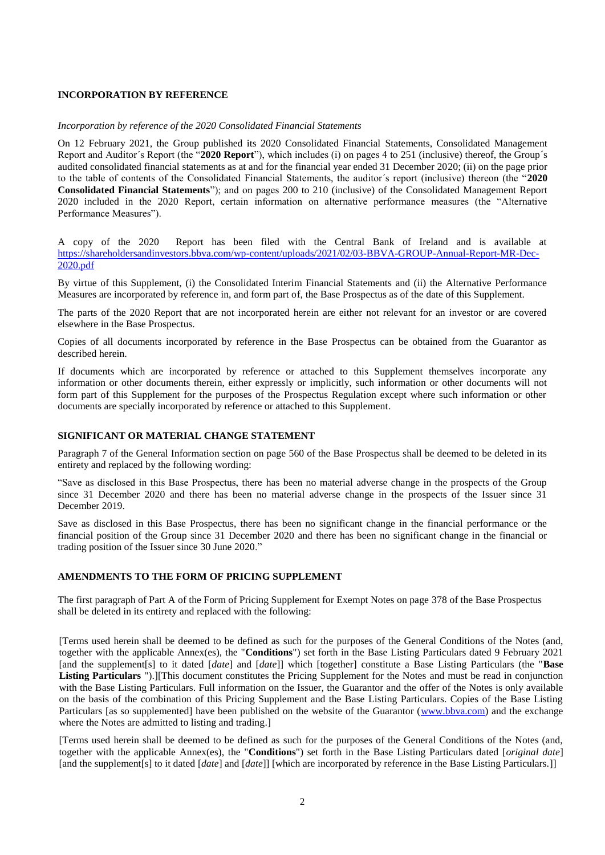### **INCORPORATION BY REFERENCE**

#### *Incorporation by reference of the 2020 Consolidated Financial Statements*

On 12 February 2021, the Group published its 2020 Consolidated Financial Statements, Consolidated Management Report and Auditor´s Report (the "**2020 Report**"), which includes (i) on pages 4 to 251 (inclusive) thereof, the Group´s audited consolidated financial statements as at and for the financial year ended 31 December 2020; (ii) on the page prior to the table of contents of the Consolidated Financial Statements, the auditor´s report (inclusive) thereon (the "**2020 Consolidated Financial Statements**"); and on pages 200 to 210 (inclusive) of the Consolidated Management Report 2020 included in the 2020 Report, certain information on alternative performance measures (the "Alternative Performance Measures").

A copy of the 2020 Report has been filed with the Central Bank of Ireland and is available at https://shareholdersandinvestors.bbva.com/wp-content/uploads/2021/02/03-BBVA-GROUP-Annual-Report-MR-Dec-2020.pdf

By virtue of this Supplement, (i) the Consolidated Interim Financial Statements and (ii) the Alternative Performance Measures are incorporated by reference in, and form part of, the Base Prospectus as of the date of this Supplement.

The parts of the 2020 Report that are not incorporated herein are either not relevant for an investor or are covered elsewhere in the Base Prospectus.

Copies of all documents incorporated by reference in the Base Prospectus can be obtained from the Guarantor as described herein.

If documents which are incorporated by reference or attached to this Supplement themselves incorporate any information or other documents therein, either expressly or implicitly, such information or other documents will not form part of this Supplement for the purposes of the Prospectus Regulation except where such information or other documents are specially incorporated by reference or attached to this Supplement.

### **SIGNIFICANT OR MATERIAL CHANGE STATEMENT**

Paragraph 7 of the General Information section on page 560 of the Base Prospectus shall be deemed to be deleted in its entirety and replaced by the following wording:

"Save as disclosed in this Base Prospectus, there has been no material adverse change in the prospects of the Group since 31 December 2020 and there has been no material adverse change in the prospects of the Issuer since 31 December 2019.

Save as disclosed in this Base Prospectus, there has been no significant change in the financial performance or the financial position of the Group since 31 December 2020 and there has been no significant change in the financial or trading position of the Issuer since 30 June 2020."

## **AMENDMENTS TO THE FORM OF PRICING SUPPLEMENT**

The first paragraph of Part A of the Form of Pricing Supplement for Exempt Notes on page 378 of the Base Prospectus shall be deleted in its entirety and replaced with the following:

[Terms used herein shall be deemed to be defined as such for the purposes of the General Conditions of the Notes (and, together with the applicable Annex(es), the "**Conditions**") set forth in the Base Listing Particulars dated 9 February 2021 [and the supplement[s] to it dated [*date*] and [*date*]] which [together] constitute a Base Listing Particulars (the "**Base Listing Particulars** ").][This document constitutes the Pricing Supplement for the Notes and must be read in conjunction with the Base Listing Particulars. Full information on the Issuer, the Guarantor and the offer of the Notes is only available on the basis of the combination of this Pricing Supplement and the Base Listing Particulars. Copies of the Base Listing Particulars [as so supplemented] have been published on the website of the Guarantor [\(www.bbva.com\)](http://www.bbva.com/) and the exchange where the Notes are admitted to listing and trading.]

[Terms used herein shall be deemed to be defined as such for the purposes of the General Conditions of the Notes (and, together with the applicable Annex(es), the "**Conditions**") set forth in the Base Listing Particulars dated [*original date*] [and the supplement<sup>[s]</sup> to it dated [*date*] and [*date*]] [which are incorporated by reference in the Base Listing Particulars.]]